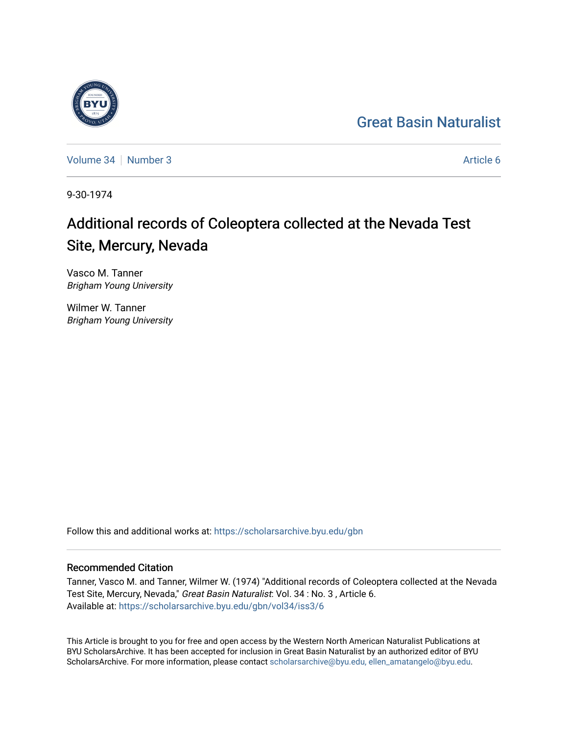## [Great Basin Naturalist](https://scholarsarchive.byu.edu/gbn)

[Volume 34](https://scholarsarchive.byu.edu/gbn/vol34) | [Number 3](https://scholarsarchive.byu.edu/gbn/vol34/iss3) Article 6

9-30-1974

# Additional records of Coleoptera collected at the Nevada Test Site, Mercury, Nevada

Vasco M. Tanner Brigham Young University

Wilmer W. Tanner Brigham Young University

Follow this and additional works at: [https://scholarsarchive.byu.edu/gbn](https://scholarsarchive.byu.edu/gbn?utm_source=scholarsarchive.byu.edu%2Fgbn%2Fvol34%2Fiss3%2F6&utm_medium=PDF&utm_campaign=PDFCoverPages) 

## Recommended Citation

Tanner, Vasco M. and Tanner, Wilmer W. (1974) "Additional records of Coleoptera collected at the Nevada Test Site, Mercury, Nevada," Great Basin Naturalist: Vol. 34 : No. 3 , Article 6. Available at: [https://scholarsarchive.byu.edu/gbn/vol34/iss3/6](https://scholarsarchive.byu.edu/gbn/vol34/iss3/6?utm_source=scholarsarchive.byu.edu%2Fgbn%2Fvol34%2Fiss3%2F6&utm_medium=PDF&utm_campaign=PDFCoverPages)

This Article is brought to you for free and open access by the Western North American Naturalist Publications at BYU ScholarsArchive. It has been accepted for inclusion in Great Basin Naturalist by an authorized editor of BYU ScholarsArchive. For more information, please contact [scholarsarchive@byu.edu, ellen\\_amatangelo@byu.edu.](mailto:scholarsarchive@byu.edu,%20ellen_amatangelo@byu.edu)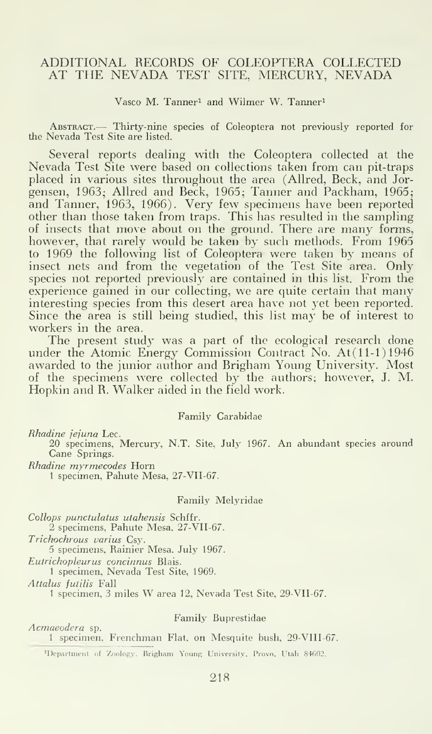## ADDITIONAL RECORDS OF COLEOPTERA COLLECTED AT THE NEVADA TEST SITE, MERCURY, NEVADA

Vasco M. Tanner<sup>1</sup> and Wilmer W. Tanner<sup>1</sup>

Abstract.— Thirty-nine species of Coleoptera not previously reported for the Nevada Test Site are listed.

Several reports dealing with the Coleoptera collected at the Nevada Test Site were based on collections taken from can pit-traps placed in various sites throughout the area (Allred, Beck, and Jor gensen, 1963; Allred and Beck, 1965; Tanner and Packham, 1965; and Tanner, 1963, 1966). Very few specimens have been reported other than those taken from traps. This has resulted in the sampling of insects that move about on the ground. There are many forms, however, that rarely would be taken by such methods. From 1965 to 1969 the following list of Coleoptera were taken by means of insect nets and from the vegetation of the Test Site area. Only species not reported previously are contained in this list. From the experience gained in our collecting, we are quite certain that many interesting species from this desert area have not yet been reported. Since the area is still being studied, this list may be of interest to workers in the area.

The present study was a part of the ecological research done under the Atomic Energy Commission Contract No. At(11-1)1946 awarded to the junior author and Brigham Young University. Most of the specimens were collected by the authors; however, J. M. Hopkin and R. Walker aided in the field work.

## Family Carabidae

Rhadine jejuna Lee.

20 specimens, Mercury, N.T. Site, July 1967. An abundant species around Cane Springs.

Rhadine myrmecodes Horn

<sup>1</sup> specimen, Pahute Mesa, 27-VII-67.

#### Family Melyridae

Collops punctulatus utahensis Schffr. 2 specimens, Pahute Mesa, 27-VII-67. Trichochrous varius Csy. 5 specimens. Rainier Mesa. July 1967.

Eutrichopleurus concinnus Blais. <sup>1</sup> specimen, Nevada Test Site, 1969.

Attalus futilis Fall

<sup>1</sup> specimen, <sup>3</sup> miles W area 12, Nevada Test Site, 29-VII-67.

Acmaeodera sp.

## Family Buprestidae

1 specimen, Frenchman Flat, on Mesquite bush, 29-VIII-67.

'Department of Zoology, Brigham Young University, Provo. Utah 84602.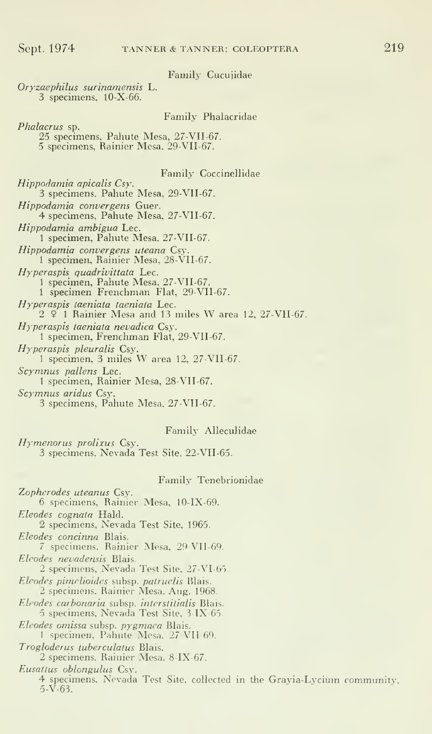## Family Cucujidae

Oryzaephilus surinamensis L. 3 specimens, lO-X-66.

#### Family Phalacridae

Phalacrus sp. 25 specimens, Paliute Mesa, 27-VII-67. 5 specimens, Rainier Mesa, 29-VII-67.

## Familj' Coccinellidae

 $Hippodamia$  apicalis  $Csy.$ 3 specimens. Pahute Mesa, 29-VII-67. Hippodamia convergens Guer. 4 specimens. Pahute Mesa, 27-VII-67. Hippodamia ambigua Lec. <sup>1</sup> specimen, Pahute Mesa. 27-VII-67. *Hippodamia convergens uteana* Csy.<br>1 specimen, Rainier Mesa, 28-VII-67. *Hyperaspis quadrivittata* Lec.<br>1 specimen, Pahute Mesa, 27-VII-67. 1 specimen Frenchman Flat, 29-VII-67. Hyperaspis taeniata taeniata Lec.  $2 \,$   $\frac{6}{7}$  1 Rainier Mesa and 13 miles W area 12, 27-VII-67. Hyperaspis taeniata nevadica Csy. 1 specimen, Frenchman Flat, 29-VII-67. Hyperaspis pleuralis Csy. 1 specimen, 3 miles W area 12,  $27\text{-}VII$ -67. Scymnus pallens Lec. 1 specimen, Rainier Mesa, 28-VII-67. Scymnus aridus Csy. 3 specimens, Pahute Mesa, 27-VII-67. Family Alleculidae

Hymenorus prolixus Csy. 3 specimens, Nevada Test Site, 22-VII-65.

#### Family Tenebrionidae

Zopherodes uteanus Csy. 6 specimens. Rainier Mesa, lO-IX-69. Eleodes cognata Hald. 2 specimens, Nevada Test Site. 1965. Eleodes concinna Blais. 7 specimens. Rainier Mesa, 29 VII-69. Eleodes nevadensis Blais. 2 specimens. Nevada Test Site. 27-VI-65. Eleodes pimelioides subsp. pairuelis Blais. 2 specimens. Rainier Mesa. Aug. 1968. Eleodes carbonaria subsp. interstitialis Blais. 5 specimens, Nevada Test Site, <sup>3</sup> IX-65. Eleodes omissa subsp. pygmaea Blais. 1 specimen, Pahute Mesa. 27-VII-69. Trogloderus tuberculatus Blais. 2 specimens. Rainier Mesa. 8-IX-67. Eusattus oblongulus Csy. 4 specimens. Nevada Test Site, collected in the Grayia-Lycium community,  $5-\sqrt{63}$ .